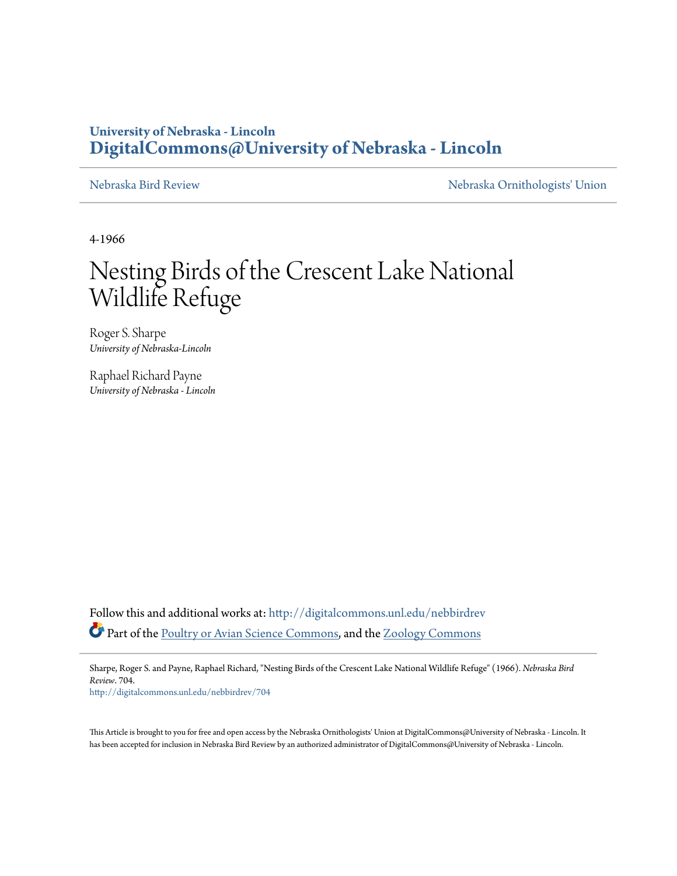## **University of Nebraska - Lincoln [DigitalCommons@University of Nebraska - Lincoln](http://digitalcommons.unl.edu?utm_source=digitalcommons.unl.edu%2Fnebbirdrev%2F704&utm_medium=PDF&utm_campaign=PDFCoverPages)**

[Nebraska Bird Review](http://digitalcommons.unl.edu/nebbirdrev?utm_source=digitalcommons.unl.edu%2Fnebbirdrev%2F704&utm_medium=PDF&utm_campaign=PDFCoverPages) [Nebraska Ornithologists' Union](http://digitalcommons.unl.edu/nebornithologists?utm_source=digitalcommons.unl.edu%2Fnebbirdrev%2F704&utm_medium=PDF&utm_campaign=PDFCoverPages)

4-1966

## Nesting Birds of the Crescent Lake National Wildlife Refuge

Roger S. Sharpe *University of Nebraska-Lincoln*

Raphael Richard Payne *University of Nebraska - Lincoln*

Follow this and additional works at: [http://digitalcommons.unl.edu/nebbirdrev](http://digitalcommons.unl.edu/nebbirdrev?utm_source=digitalcommons.unl.edu%2Fnebbirdrev%2F704&utm_medium=PDF&utm_campaign=PDFCoverPages) Part of the [Poultry or Avian Science Commons](http://network.bepress.com/hgg/discipline/80?utm_source=digitalcommons.unl.edu%2Fnebbirdrev%2F704&utm_medium=PDF&utm_campaign=PDFCoverPages), and the [Zoology Commons](http://network.bepress.com/hgg/discipline/81?utm_source=digitalcommons.unl.edu%2Fnebbirdrev%2F704&utm_medium=PDF&utm_campaign=PDFCoverPages)

Sharpe, Roger S. and Payne, Raphael Richard, "Nesting Birds of the Crescent Lake National Wildlife Refuge" (1966). *Nebraska Bird Review*. 704.

[http://digitalcommons.unl.edu/nebbirdrev/704](http://digitalcommons.unl.edu/nebbirdrev/704?utm_source=digitalcommons.unl.edu%2Fnebbirdrev%2F704&utm_medium=PDF&utm_campaign=PDFCoverPages)

This Article is brought to you for free and open access by the Nebraska Ornithologists' Union at DigitalCommons@University of Nebraska - Lincoln. It has been accepted for inclusion in Nebraska Bird Review by an authorized administrator of DigitalCommons@University of Nebraska - Lincoln.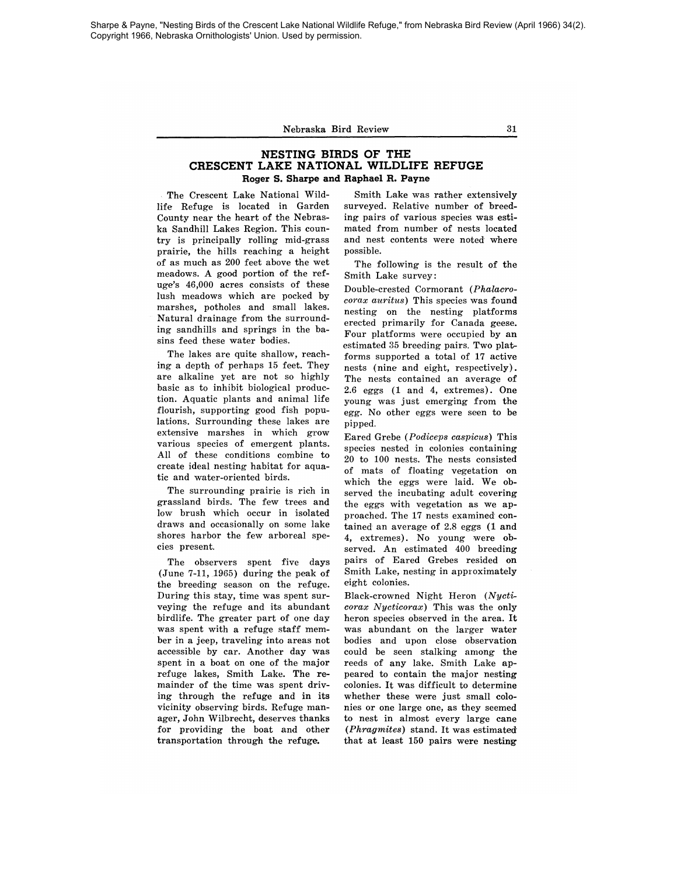Sharpe & Payne, "Nesting Birds of the Crescent Lake National Wildlife Refuge," from Nebraska Bird Review (April 1966) 34(2). Copyright 1966, Nebraska Ornithologists' Union. Used by permission.

Nebraska Bird Review 31

## **NESTING BIRDS OF THE CRESCENT LAKE NATIONAL WILDLIFE REFUGE Roger S. Sharpe and Raphael R. Payne**

The Crescent Lake National Wildlife Refuge is located in Garden County near the heart of the Nebraska Sandhill Lakes Region. This country is principally rolling mid-grass prairie, the hills reaching a height of as much as 200 feet above the wet meadows. A good portion of the refuge's 46,000 acres consists of these lush meadows which are pocked by marshes, potholes and small lakes. Natural drainage from the surrounding sandhills and springs in the basins feed these water bodies.

The lakes are quite shallow, reaching a depth of perhaps 15 feet. They are alkaline yet are not so highly basic as to inhibit biological production. Aquatic plants and animal life flourish, supporting good fish populations. Surrounding these lakes are extensive marshes in which grow various species of emergent plants. All of these conditions combine to create ideal nesting habitat for aquatic and water-oriented birds.

The surrounding prairie is rich in grassland birds. The few trees and low brush which occur in isolated draws and occasionally on some lake shores harbor the few arboreal species present.

The observers spent five days (June 7-11,1965) during the peak of the breeding season on the refuge. During this stay, time was spent surveying the refuge and its abundant birdlife. The greater part of one day was spent with a refuge staff member in a jeep, traveling into areas not accessible by car. Another day was spent in a boat on one of the major refuge lakes, Smith Lake. The remainder of the time was spent driving through the refuge and in its vicinity observing birds. Refuge manager, John Wilbrecht, deserves thanks for providing the boat and other transportation through the refuge.

Smith Lake was rather extensively surveyed. Relative number of breeding pairs of various species was estimated from number of nests located and nest contents were noted where possible.

The following is the result of the Smith Lake survey:

Double-crested Cormorant *(Phalacrocorax auritus)* This species was found nesting on the nesting platforms erected primarily for Canada geese. Four platforms were occupied by an estimated 35 breeding pairs. Two platforms supported a total of 17 active nests (nine and eight, respectively). The nests contained an average of 2.6 eggs (1 and 4, extremes). One young was just emerging from the egg. No other eggs were seen to be pipped.

Eared Grebe *(Podiceps caspicus)* This species nested in colonies containing 20 to 100 nests. The nests consisted of mats of floating vegetation on which the eggs were laid. We observed the incubating adult covering the eggs with vegetation as we approached. The 17 nests examined contained an average of 2.8 eggs (1 and 4, extremes). No young were observed. An estimated 400 breeding pairs of Eared Grebes resided on Smith Lake, nesting in approximately eight colonies.

Black-crowned Night Heron *(Nycticorax Nycticorax)* This was the only heron species observed in the area. It was abundant on the larger water bodies and upon close observation could be seen stalking among the reeds of any lake. Smith Lake appeared to contain the major nesting colonies. It was difficult to determine whether these were just small colonies or one large one, as they seemed to nest in almost every large cane *(Phragmites)* stand. It was estimated that at least 150 pairs were nesting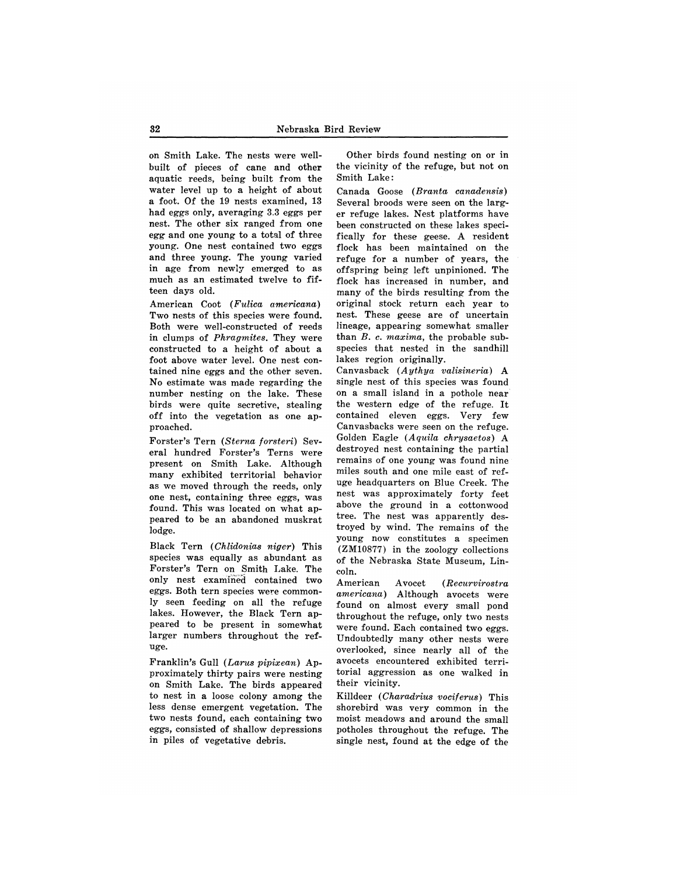on Smith Lake. The nests were wellbuilt of pieces of cane and other aquatic reeds, being built from the water level up to a height of about a foot. Of the 19 nests examined, 13 had eggs only, averaging 3.3 eggs per nest. The other six ranged from one egg and one young to a total of three young. One nest contained two eggs and three young. The young varied in age from newly emerged to as much as an estimated twelve to fifteen days old.

American Coot *(Fulica americana)*  Two nests of this species were found. Both were well-constructed of reeds in clumps of *Phragmites.* They were constructed to a height of about a foot above water level. One nest contained nine eggs and the other seven. No estimate was made regarding the number nesting on the lake. These birds were quite secretive, stealing off into the vegetation as one approached.

Forster's Tern *(Sterna forsteri)* Several hundred Forster's Terns were present on Smith Lake. Although many exhibited territorial behavior as we moved through the reeds, only one nest, containing three eggs, was found. This was located on what appeared to be an abandoned muskrat lodge.

Black Tern *(Chlidonias niger)* This species was equally as abundant as Forster's Tern on Smith Lake. The only nest examIned contained two eggs. Both tern species were commonly seen feeding on all the refuge lakes. However, the Black Tern appeared to be present in somewhat larger numbers throughout the refuge.

Franklin's Gull *(Larus pip'ixean)* Approximately thirty pairs were nesting on Smith Lake. The birds appeared to nest in a loose colony among the less dense emergent vegetation. The two nests found, each containing two eggs, consisted of shallow depressions in piles of vegetative debris.

Other birds found nesting on or in the vicinity of the refuge, but not on Smith Lake:

Canada Goose *(Branta canadensis)*  Several broods were seen on the larger refuge lakes. Nest platforms have been constructed on these lakes specifically for these geese. A resident flock has been maintained on the refuge for a number of years, the offspring being left unpinioned. The flock has increased in number, and many of the birds resulting from the original stock return each year to nest. These geese are of uncertain lineage, appearing somewhat smaller than *B.* c. *maxima,* the probable subspecies that nested in the sandhill lakes region originally.

Canvasback *(Aythya valisineria)* A single nest of this species was found on a small island in a pothole near the western edge of the refuge, It contained eleven eggs. Very few Canvasbacks were seen on the refuge. Golden Eagle *(Aquila chrysaetos)* A destroyed nest containing the partial remains of one young was found nine miles south and one mile east of refuge headquarters on Blue Creek. The nest was approximately forty feet above the ground in a cottonwood tree. The nest was apparently destroyed by wind. The remains of the young now constitutes a specimen (ZMI0877) in the zoology collections of the Nebraska State Museum, Lincoln.

American Avocet *(Recurvirostra americana)* Although avocets were found on almost every small pond throughout the refuge, only two nests were found. Each contained two eggs. Undoubtedly many other nests were overlooked, since nearly all of the avocets encountered exhibited territorial aggression as one walked in their vicinity.

Killdeer *(Charadrius vociferus)* This shorebird was very common in the moist meadows and around the small potholes throughout the refuge. The single nest, found at the edge of the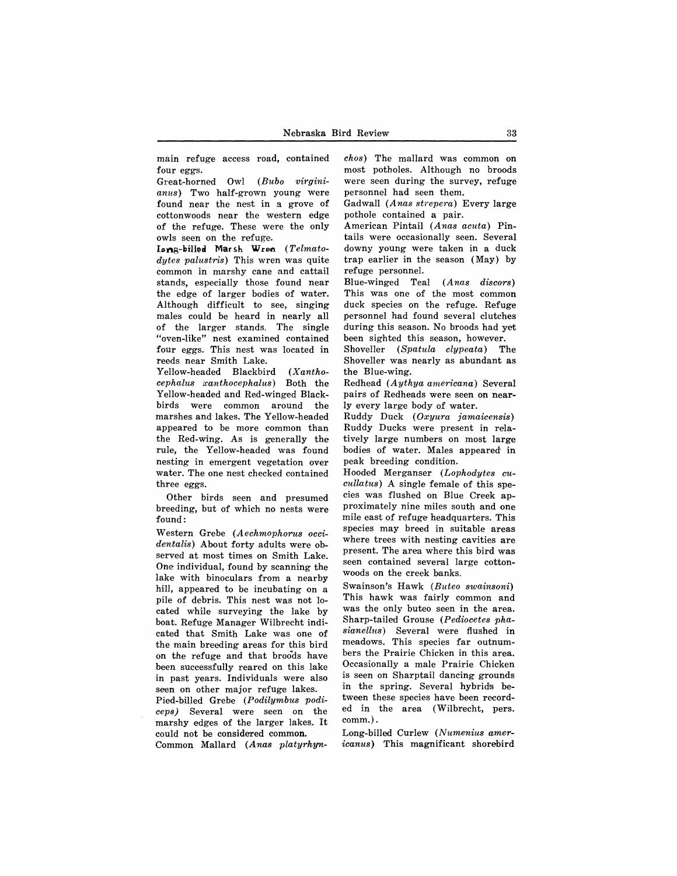main refuge access road, contained four eggs.

Great-horned Owl *(Bubo virginianus)* Two half-grown young were found near the nest in a grove of cottonwoods near the western edge of the refuge. These were the only owls seen on the refuge.

Long-billed Marsh Wren (Telmato*dytes palustris)* This wren was quite common in marshy cane and cattail stands, especially those found near the edge of larger bodies of water. Although difficult to see, singing males could be heard in nearly all of the larger stands. The single "oven-like" nest examined contained four eggs. This nest was located in reeds near Smith Lake.

Yellow-headed Blackbird *(Xanthocephalus xanthocephalus)* Both the Yellow-headed and Red-winged Blackbirds were common around the marshes and lakes. The Yellow-headed appeared to be more common than the Red-wing. As is generally the rule, the Yellow-headed was found nesting in emergent vegetation over water. The one nest checked contained three eggs.

Other birds seen and presumed breeding, but of which no nests were found:

Western Grebe *(A echmophorus occidentalis)* About forty adults were observed at most times on Smith Lake. One individual, found by scanning the lake with binoculars from a nearby hill, appeared to be incubating on a pile of debris. This nest was not located while surveying the lake by boat. Refuge Manager Wilbrecht indicated that Smith Lake was one of the main breeding areas for this bird on the refuge and that broods have been successfully reared on this lake in past years. Individuals were also seen on other major refuge lakes.

Pied-billed Grebe *(Podilymbus podiceps)* Several were seen on the marshy edges of the larger lakes. It could not be considered common.

Common Mallard *(Anas platyrhyn-*

*chos)* The mallard was common on most potholes. Although no broods were seen during the survey, refuge personnel had seen them.

Gadwall *(Anas st'repera)* Every large pothole contained a pair.

American Pintail *(Anas acuta)* Pintails were occasionally seen. Several downy young were taken in a duck trap earlier in the season (May) by refuge personnel.

Blue-winged Teal *(Anas discors)*  This was one of the most common duck species on the refuge. Refuge personnel had found several clutches during this season. No broods had yet been sighted this season, however.

Shoveller *(Spatula clypeata)* The Shoveller was nearly as abundant as the Blue-wing.

Redhead *(Aythya americana)* Several pairs of Redheads were seen on nearly every large body of water.

Ruddy Duck *(Oxyura jamaicensis)*  Ruddy Ducks were present in relatively large numbers on most large bodies of water. Males appeared' in peak breeding condition.

Hooded Merganser *(Lophodytes cucullatus)* A single female of this species was flushed on Blue Creek approximately nine miles south and one mile east of refuge headquarters. This species may breed in suitable areas where trees with nesting cavities are present. The area where this bird was seen contained several large cottonwoods on the creek banks.

Swainson's Hawk *(Buteo swainsoni)*  This hawk was fairly common and was the only buteo seen in the area. Sharp-tailed Grouse *(Pediocetes phasianellus)* Several were flushed in meadows. This species far outnumbers the Prairie Chicken in this area. Occasionally a male Prairie Chicken is seen on Sharptail dancing grounds in the spring. Several hybrids between these species have been recorded in the area (Wilbrecht, pers. comm.).

Long-billed Curlew *(Numenius americanus)* This magnificant shorebird